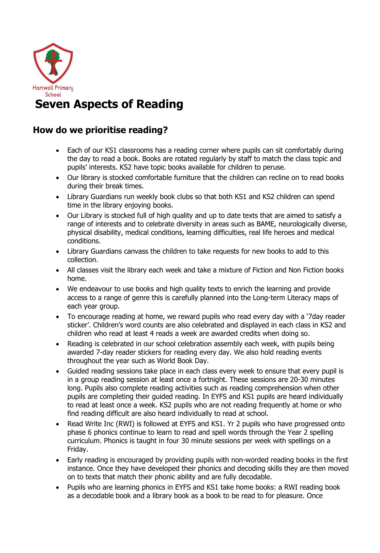

# **Seven Aspects of Reading**

## **How do we prioritise reading?**

- Each of our KS1 classrooms has a reading corner where pupils can sit comfortably during the day to read a book. Books are rotated regularly by staff to match the class topic and pupils' interests. KS2 have topic books available for children to peruse.
- Our library is stocked comfortable furniture that the children can recline on to read books during their break times.
- Library Guardians run weekly book clubs so that both KS1 and KS2 children can spend time in the library enjoying books.
- Our Library is stocked full of high quality and up to date texts that are aimed to satisfy a range of interests and to celebrate diversity in areas such as BAME, neurologically diverse, physical disability, medical conditions, learning difficulties, real life heroes and medical conditions.
- Library Guardians canvass the children to take requests for new books to add to this collection.
- All classes visit the library each week and take a mixture of Fiction and Non Fiction books home.
- We endeavour to use books and high quality texts to enrich the learning and provide access to a range of genre this is carefully planned into the Long-term Literacy maps of each year group.
- To encourage reading at home, we reward pupils who read every day with a '7day reader sticker'. Children's word counts are also celebrated and displayed in each class in KS2 and children who read at least 4 reads a week are awarded credits when doing so.
- Reading is celebrated in our school celebration assembly each week, with pupils being awarded 7-day reader stickers for reading every day. We also hold reading events throughout the year such as World Book Day.
- Guided reading sessions take place in each class every week to ensure that every pupil is in a group reading session at least once a fortnight. These sessions are 20-30 minutes long. Pupils also complete reading activities such as reading comprehension when other pupils are completing their guided reading. In EYFS and KS1 pupils are heard individually to read at least once a week. KS2 pupils who are not reading frequently at home or who find reading difficult are also heard individually to read at school.
- Read Write Inc (RWI) is followed at EYFS and KS1. Yr 2 pupils who have progressed onto phase 6 phonics continue to learn to read and spell words through the Year 2 spelling curriculum. Phonics is taught in four 30 minute sessions per week with spellings on a Friday.
- Early reading is encouraged by providing pupils with non-worded reading books in the first instance. Once they have developed their phonics and decoding skills they are then moved on to texts that match their phonic ability and are fully decodable.
- Pupils who are learning phonics in EYFS and KS1 take home books: a RWI reading book as a decodable book and a library book as a book to be read to for pleasure. Once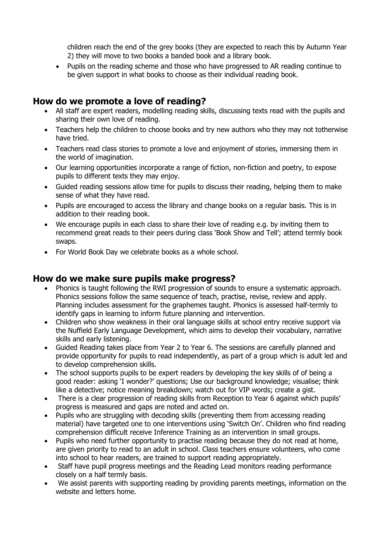children reach the end of the grey books (they are expected to reach this by Autumn Year 2) they will move to two books a banded book and a library book.

 Pupils on the reading scheme and those who have progressed to AR reading continue to be given support in what books to choose as their individual reading book.

## **How do we promote a love of reading?**

- All staff are expert readers, modelling reading skills, discussing texts read with the pupils and sharing their own love of reading.
- Teachers help the children to choose books and try new authors who they may not totherwise have tried.
- Teachers read class stories to promote a love and enjoyment of stories, immersing them in the world of imagination.
- Our learning opportunities incorporate a range of fiction, non-fiction and poetry, to expose pupils to different texts they may enjoy.
- Guided reading sessions allow time for pupils to discuss their reading, helping them to make sense of what they have read.
- Pupils are encouraged to access the library and change books on a regular basis. This is in addition to their reading book.
- We encourage pupils in each class to share their love of reading e.g. by inviting them to recommend great reads to their peers during class 'Book Show and Tell'; attend termly book swaps.
- For World Book Day we celebrate books as a whole school.

#### **How do we make sure pupils make progress?**

- Phonics is taught following the RWI progression of sounds to ensure a systematic approach. Phonics sessions follow the same sequence of teach, practise, revise, review and apply. Planning includes assessment for the graphemes taught. Phonics is assessed half-termly to identify gaps in learning to inform future planning and intervention.
- Children who show weakness in their oral language skills at school entry receive support via the Nuffield Early Language Development, which aims to develop their vocabulary, narrative skills and early listening.
- Guided Reading takes place from Year 2 to Year 6. The sessions are carefully planned and provide opportunity for pupils to read independently, as part of a group which is adult led and to develop comprehension skills.
- The school supports pupils to be expert readers by developing the key skills of of being a good reader: asking 'I wonder?' questions; Use our background knowledge; visualise; think like a detective; notice meaning breakdown; watch out for VIP words; create a gist.
- There is a clear progression of reading skills from Reception to Year 6 against which pupils' progress is measured and gaps are noted and acted on.
- Pupils who are struggling with decoding skills (preventing them from accessing reading material) have targeted one to one interventions using 'Switch On'. Children who find reading comprehension difficult receive Inference Training as an intervention in small groups.
- Pupils who need further opportunity to practise reading because they do not read at home, are given priority to read to an adult in school. Class teachers ensure volunteers, who come into school to hear readers, are trained to support reading appropriately.
- Staff have pupil progress meetings and the Reading Lead monitors reading performance closely on a half termly basis.
- We assist parents with supporting reading by providing parents meetings, information on the website and letters home.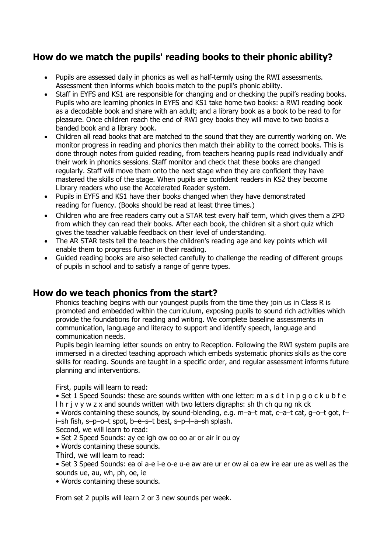# **How do we match the pupils' reading books to their phonic ability?**

- Pupils are assessed daily in phonics as well as half-termly using the RWI assessments. Assessment then informs which books match to the pupil's phonic ability.
- Staff in EYFS and KS1 are responsible for changing and or checking the pupil's reading books. Pupils who are learning phonics in EYFS and KS1 take home two books: a RWI reading book as a decodable book and share with an adult; and a library book as a book to be read to for pleasure. Once children reach the end of RWI grey books they will move to two books a banded book and a library book.
- Children all read books that are matched to the sound that they are currently working on. We monitor progress in reading and phonics then match their ability to the correct books. This is done through notes from guided reading, from teachers hearing pupils read individually andf their work in phonics sessions. Staff monitor and check that these books are changed regularly. Staff will move them onto the next stage when they are confident they have mastered the skills of the stage. When pupils are confident readers in KS2 they become Library readers who use the Accelerated Reader system.
- Pupils in EYFS and KS1 have their books changed when they have demonstrated reading for fluency. (Books should be read at least three times.)
- Children who are free readers carry out a STAR test every half term, which gives them a ZPD from which they can read their books. After each book, the children sit a short quiz which gives the teacher valuable feedback on their level of understanding.
- The AR STAR tests tell the teachers the children's reading age and key points which will enable them to progress further in their reading.
- Guided reading books are also selected carefully to challenge the reading of different groups of pupils in school and to satisfy a range of genre types.

## **How do we teach phonics from the start?**

Phonics teaching begins with our youngest pupils from the time they join us in Class R is promoted and embedded within the curriculum, exposing pupils to sound rich activities which provide the foundations for reading and writing. We complete baseline assessments in communication, language and literacy to support and identify speech, language and communication needs.

Pupils begin learning letter sounds on entry to Reception. Following the RWI system pupils are immersed in a directed teaching approach which embeds systematic phonics skills as the core skills for reading. Sounds are taught in a specific order, and regular assessment informs future planning and interventions.

First, pupils will learn to read:

• Set 1 Speed Sounds: these are sounds written with one letter: m a s d t i n p g o c k u b f e l h r j v y w z x and sounds written with two letters digraphs: sh th ch qu ng nk ck

• Words containing these sounds, by sound-blending, e.g. m–a–t mat, c–a–t cat, g–o–t got, f– i–sh fish, s–p–o–t spot, b–e–s–t best, s–p–l–a–sh splash.

Second, we will learn to read:

- Set 2 Speed Sounds: ay ee igh ow oo oo ar or air ir ou oy
- Words containing these sounds.
- Third, we will learn to read:
- Set 3 Speed Sounds: ea oi a-e i-e o-e u-e aw are ur er ow ai oa ew ire ear ure as well as the sounds ue, au, wh, ph, oe, ie
- Words containing these sounds.

From set 2 pupils will learn 2 or 3 new sounds per week.